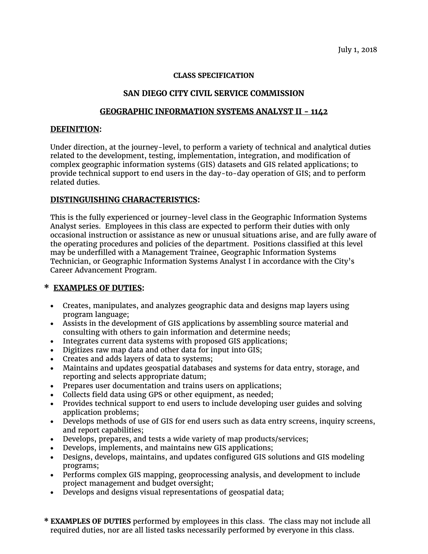July 1, 2018

#### **CLASS SPECIFICATION**

# **SAN DIEGO CITY CIVIL SERVICE COMMISSION**

## **GEOGRAPHIC INFORMATION SYSTEMS ANALYST II - 1142**

### **DEFINITION:**

Under direction, at the journey-level, to perform a variety of technical and analytical duties related to the development, testing, implementation, integration, and modification of complex geographic information systems (GIS) datasets and GIS related applications; to provide technical support to end users in the day-to-day operation of GIS; and to perform related duties.

## **DISTINGUISHING CHARACTERISTICS:**

This is the fully experienced or journey-level class in the Geographic Information Systems Analyst series. Employees in this class are expected to perform their duties with only occasional instruction or assistance as new or unusual situations arise, and are fully aware of the operating procedures and policies of the department. Positions classified at this level may be underfilled with a Management Trainee, Geographic Information Systems Technician, or Geographic Information Systems Analyst I in accordance with the City's Career Advancement Program.

## **\* EXAMPLES OF DUTIES:**

- Creates, manipulates, and analyzes geographic data and designs map layers using program language;
- Assists in the development of GIS applications by assembling source material and consulting with others to gain information and determine needs;
- Integrates current data systems with proposed GIS applications;
- Digitizes raw map data and other data for input into GIS;
- Creates and adds layers of data to systems;
- Maintains and updates geospatial databases and systems for data entry, storage, and reporting and selects appropriate datum;
- Prepares user documentation and trains users on applications;
- Collects field data using GPS or other equipment, as needed;
- Provides technical support to end users to include developing user guides and solving application problems;
- Develops methods of use of GIS for end users such as data entry screens, inquiry screens, and report capabilities;
- Develops, prepares, and tests a wide variety of map products/services;
- Develops, implements, and maintains new GIS applications;
- Designs, develops, maintains, and updates configured GIS solutions and GIS modeling programs;
- Performs complex GIS mapping, geoprocessing analysis, and development to include project management and budget oversight;
- Develops and designs visual representations of geospatial data;
- **\* EXAMPLES OF DUTIES** performed by employees in this class. The class may not include all required duties, nor are all listed tasks necessarily performed by everyone in this class.